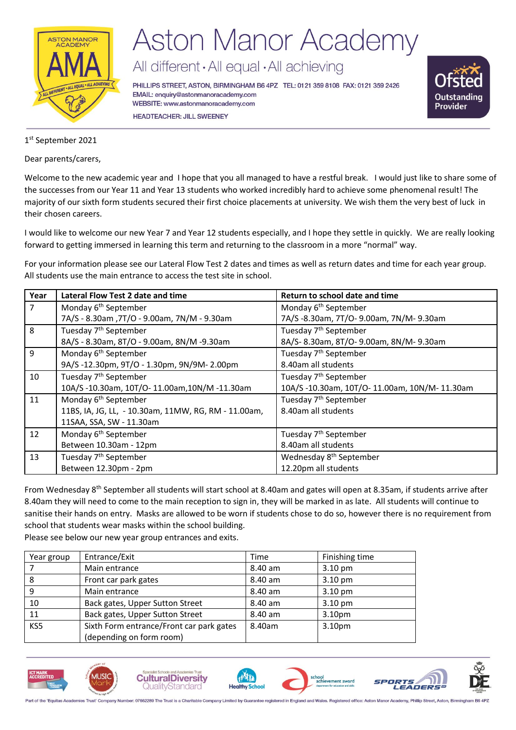

# **Aston Manor Academy**

All different · All equal · All achieving

PHILLIPS STREET, ASTON, BIRMINGHAM B6 4PZ TEL: 0121 359 8108 FAX: 0121 359 2426 EMAIL: enquiry@astonmanoracademy.com WEBSITE: www.astonmanoracademy.com **HEADTEACHER: JILL SWEENEY** 



1 st September 2021

Dear parents/carers,

Welcome to the new academic year and I hope that you all managed to have a restful break. I would just like to share some of the successes from our Year 11 and Year 13 students who worked incredibly hard to achieve some phenomenal result! The majority of our sixth form students secured their first choice placements at university. We wish them the very best of luck in their chosen careers.

I would like to welcome our new Year 7 and Year 12 students especially, and I hope they settle in quickly. We are really looking forward to getting immersed in learning this term and returning to the classroom in a more "normal" way.

For your information please see our Lateral Flow Test 2 dates and times as well as return dates and time for each year group. All students use the main entrance to access the test site in school.

| Year | Lateral Flow Test 2 date and time                   | Return to school date and time                 |  |
|------|-----------------------------------------------------|------------------------------------------------|--|
|      | Monday 6 <sup>th</sup> September                    | Monday 6 <sup>th</sup> September               |  |
|      | 7A/S - 8.30am, 7T/O - 9.00am, 7N/M - 9.30am         | 7A/S-8.30am, 7T/O-9.00am, 7N/M-9.30am          |  |
| 8    | Tuesday 7 <sup>th</sup> September                   | Tuesday 7 <sup>th</sup> September              |  |
|      | 8A/S - 8.30am, 8T/O - 9.00am, 8N/M -9.30am          | 8A/S-8.30am, 8T/O-9.00am, 8N/M-9.30am          |  |
| 9    | Monday 6 <sup>th</sup> September                    | Tuesday 7 <sup>th</sup> September              |  |
|      | 9A/S-12.30pm, 9T/O-1.30pm, 9N/9M-2.00pm             | 8.40am all students                            |  |
| 10   | Tuesday 7 <sup>th</sup> September                   | Tuesday 7 <sup>th</sup> September              |  |
|      | 10A/S-10.30am, 10T/O-11.00am,10N/M-11.30am          | 10A/S -10.30am, 10T/O- 11.00am, 10N/M- 11.30am |  |
| 11   | Monday 6 <sup>th</sup> September                    | Tuesday 7 <sup>th</sup> September              |  |
|      | 11BS, IA, JG, LL, -10.30am, 11MW, RG, RM - 11.00am, | 8.40am all students                            |  |
|      | 11SAA, SSA, SW - 11.30am                            |                                                |  |
| 12   | Monday 6 <sup>th</sup> September                    | Tuesday 7 <sup>th</sup> September              |  |
|      | Between 10.30am - 12pm                              | 8.40am all students                            |  |
| 13   | Tuesday 7 <sup>th</sup> September                   | Wednesday 8 <sup>th</sup> September            |  |
|      | Between 12.30pm - 2pm                               | 12.20pm all students                           |  |

From Wednesday 8th September all students will start school at 8.40am and gates will open at 8.35am, if students arrive after 8.40am they will need to come to the main reception to sign in, they will be marked in as late. All students will continue to sanitise their hands on entry. Masks are allowed to be worn if students chose to do so, however there is no requirement from school that students wear masks within the school building.

Please see below our new year group entrances and exits.

| Year group | Entrance/Exit                            | Time    | Finishing time     |
|------------|------------------------------------------|---------|--------------------|
|            | Main entrance                            | 8.40 am | $3.10 \text{ pm}$  |
| 8          | Front car park gates                     | 8.40 am | 3.10 pm            |
| 9          | Main entrance                            | 8.40 am | 3.10 pm            |
| 10         | Back gates, Upper Sutton Street          | 8.40 am | 3.10 pm            |
| 11         | Back gates, Upper Sutton Street          | 8.40 am | 3.10 <sub>pm</sub> |
| KS5        | Sixth Form entrance/Front car park gates | 8.40am  | 3.10 <sub>pm</sub> |
|            | (depending on form room)                 |         |                    |

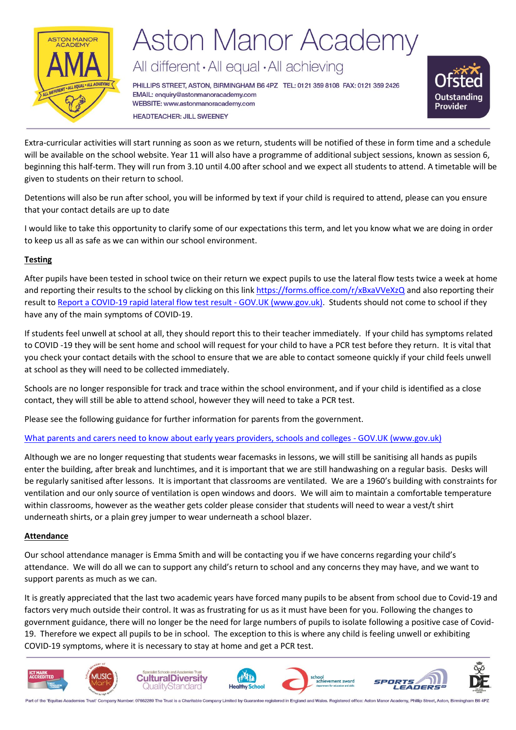

# **Aston Manor Academy**

All different · All equal · All achieving

PHILLIPS STREET, ASTON, BIRMINGHAM B6 4PZ TEL: 0121 359 8108 FAX: 0121 359 2426 EMAIL: enquiry@astonmanoracademy.com WEBSITE: www.astonmanoracademy.com **HEADTEACHER: JILL SWEENEY** 



Extra-curricular activities will start running as soon as we return, students will be notified of these in form time and a schedule will be available on the school website. Year 11 will also have a programme of additional subject sessions, known as session 6, beginning this half-term. They will run from 3.10 until 4.00 after school and we expect all students to attend. A timetable will be given to students on their return to school.

Detentions will also be run after school, you will be informed by text if your child is required to attend, please can you ensure that your contact details are up to date

I would like to take this opportunity to clarify some of our expectations this term, and let you know what we are doing in order to keep us all as safe as we can within our school environment.

### **Testing**

After pupils have been tested in school twice on their return we expect pupils to use the lateral flow tests twice a week at home and reporting their results to the school by clicking on this link<https://forms.office.com/r/xBxaVVeXzQ> and also reporting their result t[o Report a COVID-19 rapid lateral flow test result -](https://www.gov.uk/report-covid19-result) GOV.UK (www.gov.uk). Students should not come to school if they have any of the main symptoms of COVID-19.

If students feel unwell at school at all, they should report this to their teacher immediately. If your child has symptoms related to COVID -19 they will be sent home and school will request for your child to have a PCR test before they return. It is vital that you check your contact details with the school to ensure that we are able to contact someone quickly if your child feels unwell at school as they will need to be collected immediately.

Schools are no longer responsible for track and trace within the school environment, and if your child is identified as a close contact, they will still be able to attend school, however they will need to take a PCR test.

Please see the following guidance for further information for parents from the government.

## [What parents and carers need to know about early years providers, schools and colleges -](https://www.gov.uk/government/publications/what-parents-and-carers-need-to-know-about-early-years-providers-schools-and-colleges-during-the-coronavirus-covid-19-outbreak/step-4-update-what-parents-and-carers-need-to-know-about-early-years-providers-schools-and-colleges) GOV.UK (www.gov.uk)

Although we are no longer requesting that students wear facemasks in lessons, we will still be sanitising all hands as pupils enter the building, after break and lunchtimes, and it is important that we are still handwashing on a regular basis. Desks will be regularly sanitised after lessons. It is important that classrooms are ventilated. We are a 1960's building with constraints for ventilation and our only source of ventilation is open windows and doors. We will aim to maintain a comfortable temperature within classrooms, however as the weather gets colder please consider that students will need to wear a vest/t shirt underneath shirts, or a plain grey jumper to wear underneath a school blazer.

## **Attendance**

Our school attendance manager is Emma Smith and will be contacting you if we have concerns regarding your child's attendance. We will do all we can to support any child's return to school and any concerns they may have, and we want to support parents as much as we can.

It is greatly appreciated that the last two academic years have forced many pupils to be absent from school due to Covid-19 and factors very much outside their control. It was as frustrating for us as it must have been for you. Following the changes to government guidance, there will no longer be the need for large numbers of pupils to isolate following a positive case of Covid-19. Therefore we expect all pupils to be in school. The exception to this is where any child is feeling unwell or exhibiting COVID-19 symptoms, where it is necessary to stay at home and get a PCR test.



Part of the 'Equitas Academies Trust' Company Number: 07662289 The Trust is a Charitable Company Limited by Guarantee registered in England and Wales. Registered office: Aston Manor Acad